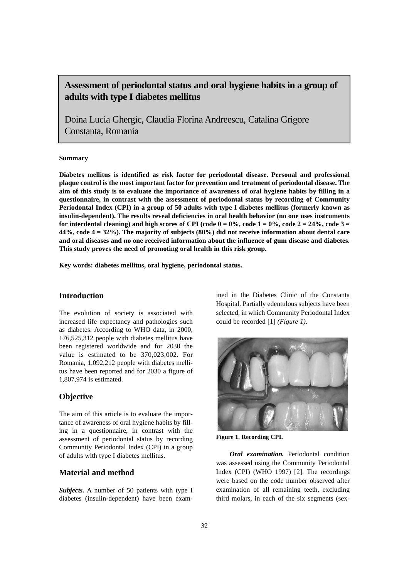# **Assessment of periodontal status and oral hygiene habits in a group of adults with type I diabetes mellitus**

Doina Lucia Ghergic, Claudia Florina Andreescu, Catalina Grigore Constanta, Romania

#### **Summary**

**Diabetes mellitus is identified as risk factor for periodontal disease. Personal and professional plaque control is the most important factor for prevention and treatment of periodontal disease. The aim of this study is to evaluate the importance of awareness of oral hygiene habits by filling in a questionnaire, in contrast with the assessment of periodontal status by recording of Community Periodontal Index (CPI) in a group of 50 adults with type I diabetes mellitus (formerly known as insulin-dependent). The results reveal deficiencies in oral health behavior (no one uses instruments** for interdental cleaning) and high scores of CPI (code  $0 = 0\%$ , code  $1 = 0\%$ , code  $2 = 24\%$ , code  $3 = 24\%$ **44%, code 4 = 32%). The majority of subjects (80%) did not receive information about dental care and oral diseases and no one received information about the influence of gum disease and diabetes. This study proves the need of promoting oral health in this risk group.**

**Key words: diabetes mellitus, oral hygiene, periodontal status.** 

## **Introduction**

The evolution of society is associated with increased life expectancy and pathologies such as diabetes. According to WHO data, in 2000, 176,525,312 people with diabetes mellitus have been registered worldwide and for 2030 the value is estimated to be 370,023,002. For Romania, 1,092,212 people with diabetes mellitus have been reported and for 2030 a figure of 1,807,974 is estimated.

### **Objective**

The aim of this article is to evaluate the importance of awareness of oral hygiene habits by filling in a questionnaire, in contrast with the assessment of periodontal status by recording Community Periodontal Index (CPI) in a group of adults with type I diabetes mellitus.

### **Material and method**

*Subjects.* A number of 50 patients with type I diabetes (insulin-dependent) have been examined in the Diabetes Clinic of the Constanta Hospital. Partially edentulous subjects have been selected, in which Community Periodontal Index could be recorded [1] *(Figure 1).* 



**Figure 1. Recording CPI.**

*Oral examination.* Periodontal condition was assessed using the Community Periodontal Index (CPI) (WHO 1997) [2]. The recordings were based on the code number observed after examination of all remaining teeth, excluding third molars, in each of the six segments (sex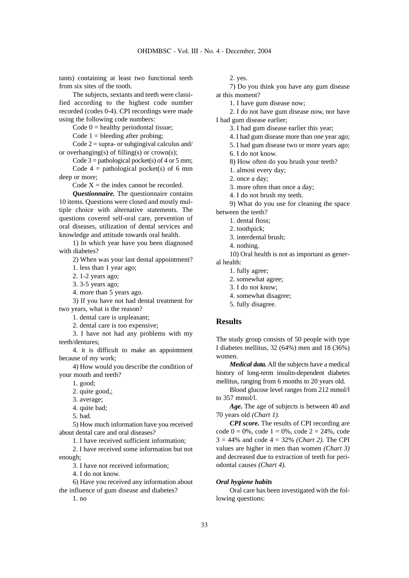tants) containing at least two functional teeth from six sites of the tooth.

The subjects, sextants and teeth were classified according to the highest code number recorded (codes 0-4). CPI recordings were made using the following code numbers:

Code  $0 =$  healthy periodontal tissue;

Code  $1 =$  bleeding after probing;

Code  $2 = \text{supra- or subgingival calculus and}$ or overhanging(s) of filling(s) or crown(s);

Code  $3 =$  pathological pocket(s) of 4 or 5 mm; Code  $4 =$  pathological pocket(s) of 6 mm deep or more;

Code  $X =$  the index cannot be recorded.

*Questionnaire.* The questionnaire contains 10 items. Questions were closed and mostly multiple choice with alternative statements. The questions covered self-oral care, prevention of oral diseases, utilization of dental services and knowledge and attitude towards oral health.

1) In which year have you been diagnosed with diabetes?

2) When was your last dental appointment?

1. less than 1 year ago;

2. 1-2 years ago;

3. 3-5 years ago;

4. more than 5 years ago.

3) If you have not had dental treatment for two years, what is the reason?

1. dental care is unpleasant;

2. dental care is too expensive;

3. I have not had any problems with my teeth/dentures;

4. it is difficult to make an appointment because of my work;

4) How would you describe the condition of your mouth and teeth?

1. good;

2. quite good,;

3. average;

4. quite bad;

5. bad.

5) How much information have you received about dental care and oral diseases?

1. I have received sufficient information;

2. I have received some information but not enough;

3. I have not received information;

4. I do not know.

6) Have you received any information about the influence of gum disease and diabetes?

1. no

2. yes.

7) Do you think you have any gum disease at this moment?

1. I have gum disease now;

2. I do not have gum disease now, nor have I had gum disease earlier;

3. I had gum disease earlier this year;

4. I had gum disease more than one year ago;

5. I had gum disease two or more years ago;

6. I do not know.

8) How often do you brush your teeth?

1. almost every day;

2. once a day;

3. more often than once a day;

4. I do not brush my teeth.

9) What do you use for cleaning the space between the teeth?

1. dental floss;

2. toothpick;

3. interdental brush;

4. nothing.

10) Oral health is not as important as gener-

al health:

1. fully agree;

2. somewhat agree;

3. I do not know;

4. somewhat disagree;

5. fully disagree.

#### **Results**

The study group consists of 50 people with type I diabetes mellitus, 32 (64%) men and 18 (36%) women.

*Medical data.* All the subjects have a medical history of long-term insulin-dependent diabetes mellitus, ranging from 6 months to 20 years old.

Blood glucose level ranges from 212 mmol/l to 357 mmol/l.

*Age.* The age of subjects is between 40 and 70 years old *(Chart 1).*

*CPI score.* The results of CPI recording are code  $0 = 0\%$ , code  $1 = 0\%$ , code  $2 = 24\%$ , code  $3 = 44\%$  and code  $4 = 32\%$  *(Chart 2)*. The CPI values are higher in men than women *(Chart 3)* and decreased due to extraction of teeth for periodontal causes *(Chart 4).*

#### *Oral hygiene habits*

Oral care has been investigated with the following questions: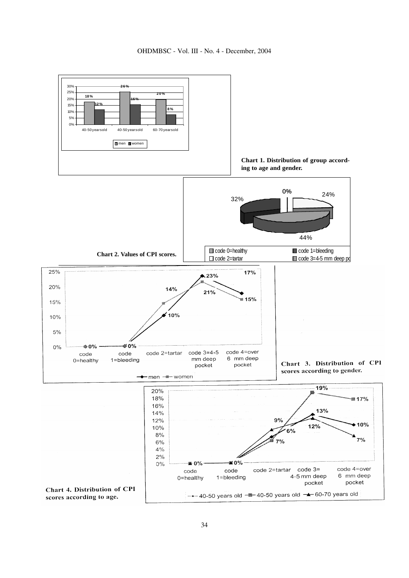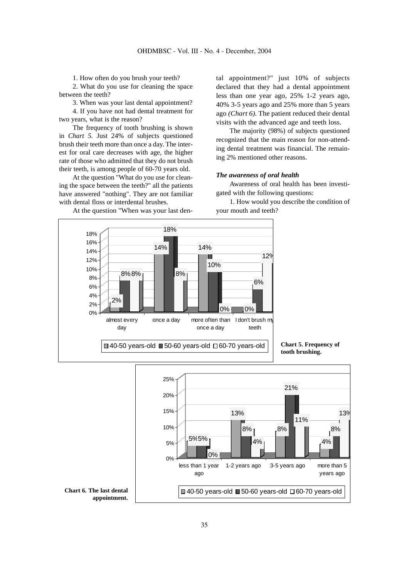1. How often do you brush your teeth?

2. What do you use for cleaning the space between the teeth?

3. When was your last dental appointment? 4. If you have not had dental treatment for two years, what is the reason?

The frequency of tooth brushing is shown in *Chart 5.* Just 24% of subjects questioned brush their teeth more than once a day. The interest for oral care decreases with age, the higher rate of those who admitted that they do not brush their teeth, is among people of 60-70 years old.

At the question "What do you use for cleaning the space between the teeth?" all the patients have answered "nothing". They are not familiar with dental floss or interdental brushes.

ago *(Chart 6).* The patient reduced their dental visits with the advanced age and teeth loss. The majority (98%) of subjects questioned recognized that the main reason for non-attending dental treatment was financial. The remain-

#### *The awareness of oral health*

ing 2% mentioned other reasons.

Awareness of oral health has been investigated with the following questions:

tal appointment?" just 10% of subjects declared that they had a dental appointment less than one year ago, 25% 1-2 years ago, 40% 3-5 years ago and 25% more than 5 years

1. How would you describe the condition of your mouth and teeth?







At the question "When was your last den-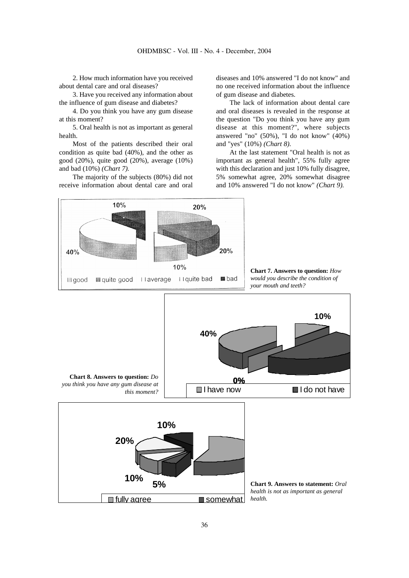2. How much information have you received about dental care and oral diseases?

3. Have you received any information about the influence of gum disease and diabetes?

4. Do you think you have any gum disease at this moment?

5. Oral health is not as important as general health.

Most of the patients described their oral condition as quite bad (40%), and the other as good (20%), quite good (20%), average (10%) and bad (10%) *(Chart 7).*

The majority of the subjects (80%) did not receive information about dental care and oral diseases and 10% answered "I do not know" and no one received information about the influence of gum disease and diabetes.

The lack of information about dental care and oral diseases is revealed in the response at the question "Do you think you have any gum disease at this moment?", where subjects answered "no" (50%), "I do not know" (40%) and "yes" (10%) *(Chart 8).*

At the last statement "Oral health is not as important as general health", 55% fully agree with this declaration and just 10% fully disagree, 5% somewhat agree, 20% somewhat disagree and 10% answered "I do not know" *(Chart 9).*